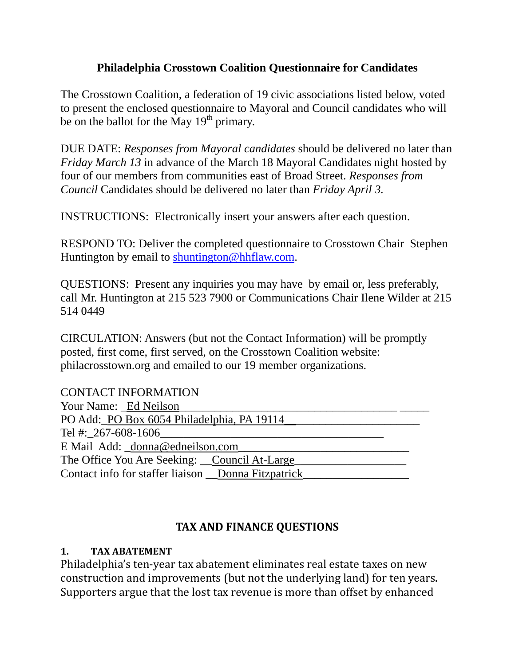## **Philadelphia Crosstown Coalition Questionnaire for Candidates**

The Crosstown Coalition, a federation of 19 civic associations listed below, voted to present the enclosed questionnaire to Mayoral and Council candidates who will be on the ballot for the May  $19<sup>th</sup>$  primary.

DUE DATE: *Responses from Mayoral candidates* should be delivered no later than *Friday March 13* in advance of the March 18 Mayoral Candidates night hosted by four of our members from communities east of Broad Street. *Responses from Council* Candidates should be delivered no later than *Friday April 3.*

INSTRUCTIONS: Electronically insert your answers after each question.

RESPOND TO: Deliver the completed questionnaire to Crosstown Chair Stephen Huntington by email to shuntington@hhflaw.com.

QUESTIONS: Present any inquiries you may have by email or, less preferably, call Mr. Huntington at 215 523 7900 or Communications Chair Ilene Wilder at 215 514 0449

CIRCULATION: Answers (but not the Contact Information) will be promptly posted, first come, first served, on the Crosstown Coalition website: philacrosstown.org and emailed to our 19 member organizations.

| <b>CONTACT INFORMATION</b>                            |  |
|-------------------------------------------------------|--|
| Your Name: Ed Neilson                                 |  |
| PO Add: PO Box 6054 Philadelphia, PA 19114            |  |
| Tel #: $267 - 608 - 1606$                             |  |
| E Mail Add: donna@edneilson.com                       |  |
| The Office You Are Seeking: Council At-Large          |  |
| Contact info for staffer liaison __Donna Fitzpatrick_ |  |

## **TAX AND FINANCE QUESTIONS**

#### **1. TAX ABATEMENT**

Philadelphia's ten-year tax abatement eliminates real estate taxes on new construction and improvements (but not the underlying land) for ten years. Supporters argue that the lost tax revenue is more than offset by enhanced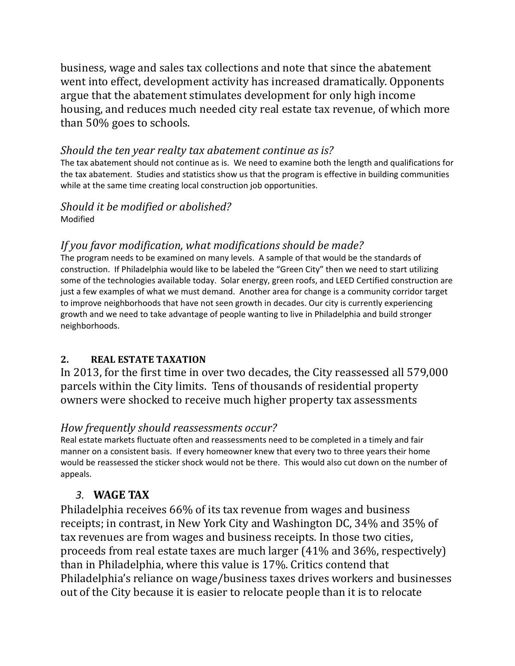business, wage and sales tax collections and note that since the abatement went into effect, development activity has increased dramatically. Opponents argue that the abatement stimulates development for only high income housing, and reduces much needed city real estate tax revenue, of which more than 50% goes to schools.

#### *Should the ten year realty tax abatement continue as is?*

The tax abatement should not continue as is. We need to examine both the length and qualifications for the tax abatement. Studies and statistics show us that the program is effective in building communities while at the same time creating local construction job opportunities.

#### *Should it be modified or abolished?* Modified

## *If you favor modification, what modifications should be made?*

The program needs to be examined on many levels. A sample of that would be the standards of construction. If Philadelphia would like to be labeled the "Green City" then we need to start utilizing some of the technologies available today. Solar energy, green roofs, and LEED Certified construction are just a few examples of what we must demand. Another area for change is a community corridor target to improve neighborhoods that have not seen growth in decades. Our city is currently experiencing growth and we need to take advantage of people wanting to live in Philadelphia and build stronger neighborhoods.

#### **2. REAL ESTATE TAXATION**

In 2013, for the first time in over two decades, the City reassessed all 579,000 parcels within the City limits. Tens of thousands of residential property owners were shocked to receive much higher property tax assessments

#### *How frequently should reassessments occur?*

Real estate markets fluctuate often and reassessments need to be completed in a timely and fair manner on a consistent basis. If every homeowner knew that every two to three years their home would be reassessed the sticker shock would not be there. This would also cut down on the number of appeals.

## *3.* **WAGE TAX**

Philadelphia receives 66% of its tax revenue from wages and business receipts; in contrast, in New York City and Washington DC, 34% and 35% of tax revenues are from wages and business receipts. In those two cities, proceeds from real estate taxes are much larger  $(41\%$  and  $36\%$ , respectively) than in Philadelphia, where this value is 17%. Critics contend that Philadelphia's reliance on wage/business taxes drives workers and businesses out of the City because it is easier to relocate people than it is to relocate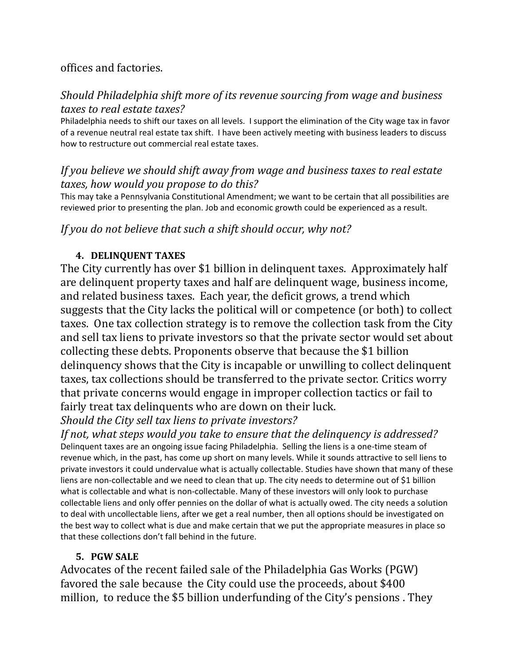## offices and factories.

### *Should Philadelphia shift more of its revenue sourcing from wage and business taxes to real estate taxes?*

Philadelphia needs to shift our taxes on all levels. I support the elimination of the City wage tax in favor of a revenue neutral real estate tax shift. I have been actively meeting with business leaders to discuss how to restructure out commercial real estate taxes.

### *If you believe we should shift away from wage and business taxes to real estate taxes, how would you propose to do this?*

This may take a Pennsylvania Constitutional Amendment; we want to be certain that all possibilities are reviewed prior to presenting the plan. Job and economic growth could be experienced as a result.

### *If you do not believe that such a shift should occur, why not?*

#### **4. DELINQUENT TAXES**

The City currently has over \$1 billion in delinquent taxes. Approximately half are delinquent property taxes and half are delinquent wage, business income, and related business taxes. Each year, the deficit grows, a trend which suggests that the City lacks the political will or competence (or both) to collect taxes. One tax collection strategy is to remove the collection task from the City and sell tax liens to private investors so that the private sector would set about collecting these debts. Proponents observe that because the \$1 billion delinguency shows that the City is incapable or unwilling to collect delinguent taxes, tax collections should be transferred to the private sector. Critics worry that private concerns would engage in improper collection tactics or fail to fairly treat tax delinquents who are down on their luck.

## *Should the City sell tax liens to private investors?*

*If not, what steps would you take to ensure that the delinquency is addressed?* Delinquent taxes are an ongoing issue facing Philadelphia. Selling the liens is a one-time steam of revenue which, in the past, has come up short on many levels. While it sounds attractive to sell liens to private investors it could undervalue what is actually collectable. Studies have shown that many of these liens are non-collectable and we need to clean that up. The city needs to determine out of \$1 billion what is collectable and what is non-collectable. Many of these investors will only look to purchase collectable liens and only offer pennies on the dollar of what is actually owed. The city needs a solution to deal with uncollectable liens, after we get a real number, then all options should be investigated on the best way to collect what is due and make certain that we put the appropriate measures in place so that these collections don't fall behind in the future.

#### **5. PGW SALE**

Advocates of the recent failed sale of the Philadelphia Gas Works (PGW) favored the sale because the City could use the proceeds, about \$400 million, to reduce the \$5 billion underfunding of the City's pensions. They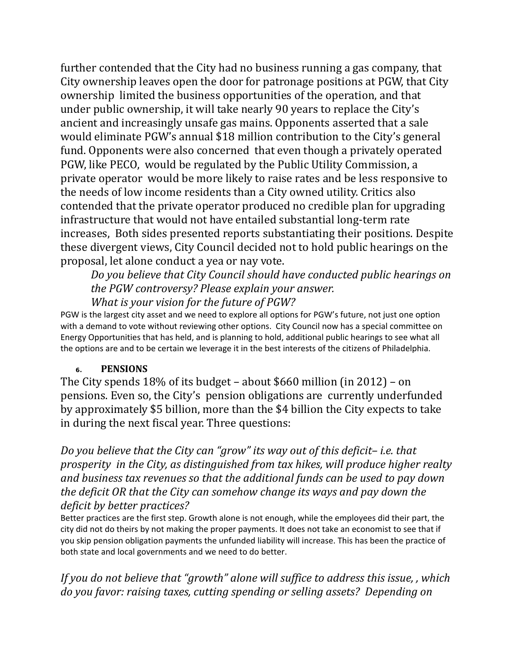further contended that the City had no business running a gas company, that City ownership leaves open the door for patronage positions at PGW, that City ownership limited the business opportunities of the operation, and that under public ownership, it will take nearly 90 years to replace the City's ancient and increasingly unsafe gas mains. Opponents asserted that a sale would eliminate PGW's annual \$18 million contribution to the City's general fund. Opponents were also concerned that even though a privately operated PGW, like PECO, would be regulated by the Public Utility Commission, a private operator would be more likely to raise rates and be less responsive to the needs of low income residents than a City owned utility. Critics also contended that the private operator produced no credible plan for upgrading infrastructure that would not have entailed substantial long-term rate increases, Both sides presented reports substantiating their positions. Despite these divergent views, City Council decided not to hold public hearings on the proposal, let alone conduct a yea or nay vote.

*Do you believe that City Council should have conducted public hearings on the PGW controversy? Please explain your answer. What is your vision for the future of PGW?* 

PGW is the largest city asset and we need to explore all options for PGW's future, not just one option with a demand to vote without reviewing other options. City Council now has a special committee on Energy Opportunities that has held, and is planning to hold, additional public hearings to see what all the options are and to be certain we leverage it in the best interests of the citizens of Philadelphia.

#### **6. PENSIONS**

The City spends  $18\%$  of its budget – about \$660 million (in 2012) – on pensions. Even so, the City's pension obligations are currently underfunded by approximately \$5 billion, more than the \$4 billion the City expects to take in during the next fiscal year. Three questions:

*Do you believe that the City can "grow" its way out of this deficit– i.e. that prosperity in the City, as distinguished from tax hikes, will produce higher realty and business tax revenues so that the additional funds can be used to pay down the deficit OR that the City can somehow change its ways and pay down the deficit by better practices?*

Better practices are the first step. Growth alone is not enough, while the employees did their part, the city did not do theirs by not making the proper payments. It does not take an economist to see that if you skip pension obligation payments the unfunded liability will increase. This has been the practice of both state and local governments and we need to do better.

*If you do not believe that "growth" alone will suffice to address this issue, , which do you favor: raising taxes, cutting spending or selling assets? Depending on*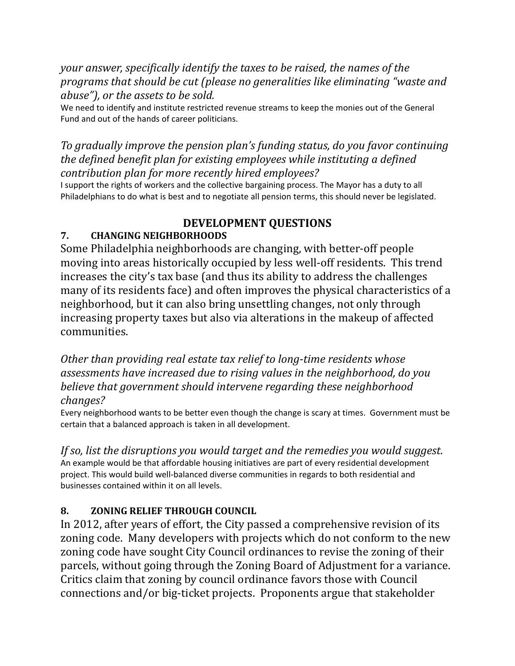*your answer, specifically identify the taxes to be raised, the names of the programs that should be cut (please no generalities like eliminating "waste and abuse"), or the assets to be sold.*

We need to identify and institute restricted revenue streams to keep the monies out of the General Fund and out of the hands of career politicians.

## *To gradually improve the pension plan's funding status, do you favor continuing the defined benefit plan for existing employees while instituting a defined contribution plan for more recently hired employees?*

I support the rights of workers and the collective bargaining process. The Mayor has a duty to all Philadelphians to do what is best and to negotiate all pension terms, this should never be legislated.

# **DEVELOPMENT QUESTIONS**

# **7. CHANGING NEIGHBORHOODS**

Some Philadelphia neighborhoods are changing, with better-off people moving into areas historically occupied by less well-off residents. This trend increases the city's tax base (and thus its ability to address the challenges many of its residents face) and often improves the physical characteristics of a neighborhood, but it can also bring unsettling changes, not only through increasing property taxes but also via alterations in the makeup of affected communities. 

*Other than providing real estate tax relief to long‐time residents whose assessments have increased due to rising values in the neighborhood, do you believe that government should intervene regarding these neighborhood changes?*

Every neighborhood wants to be better even though the change is scary at times. Government must be certain that a balanced approach is taken in all development.

*If so, list the disruptions you would target and the remedies you would suggest.* An example would be that affordable housing initiatives are part of every residential development project. This would build well‐balanced diverse communities in regards to both residential and businesses contained within it on all levels.

## **8. ZONING RELIEF THROUGH COUNCIL**

In 2012, after years of effort, the City passed a comprehensive revision of its zoning code. Many developers with projects which do not conform to the new zoning code have sought City Council ordinances to revise the zoning of their parcels, without going through the Zoning Board of Adjustment for a variance. Critics claim that zoning by council ordinance favors those with Council connections and/or big-ticket projects. Proponents argue that stakeholder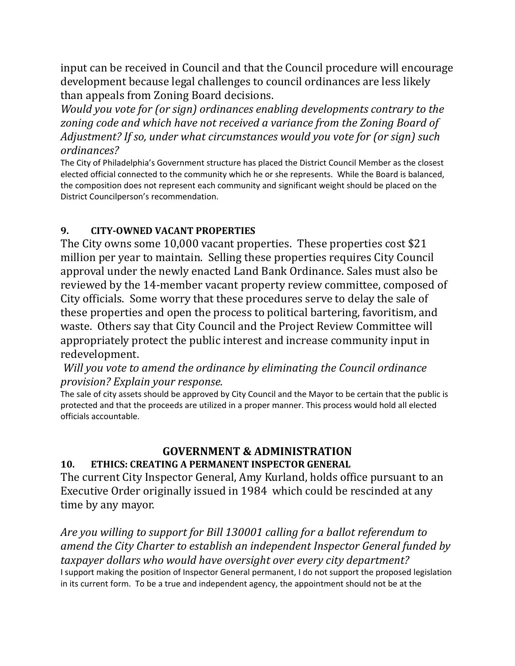input can be received in Council and that the Council procedure will encourage development because legal challenges to council ordinances are less likely than appeals from Zoning Board decisions.

*Would you vote for (or sign) ordinances enabling developments contrary to the zoning code and which have not received a variance from the Zoning Board of Adjustment? If so, under what circumstances would you vote for (or sign) such ordinances?*

The City of Philadelphia's Government structure has placed the District Council Member as the closest elected official connected to the community which he or she represents. While the Board is balanced, the composition does not represent each community and significant weight should be placed on the District Councilperson's recommendation.

### **9. CITY‐OWNED VACANT PROPERTIES**

The City owns some  $10,000$  vacant properties. These properties cost \$21 million per year to maintain. Selling these properties requires City Council approval under the newly enacted Land Bank Ordinance. Sales must also be reviewed by the 14-member vacant property review committee, composed of City officials. Some worry that these procedures serve to delay the sale of these properties and open the process to political bartering, favoritism, and waste. Others say that City Council and the Project Review Committee will appropriately protect the public interest and increase community input in redevelopment. 

*Will you vote to amend the ordinance by eliminating the Council ordinance provision? Explain your response.*

The sale of city assets should be approved by City Council and the Mayor to be certain that the public is protected and that the proceeds are utilized in a proper manner. This process would hold all elected officials accountable.

## **GOVERNMENT & ADMINISTRATION**

#### **10. ETHICS: CREATING A PERMANENT INSPECTOR GENERAL**

The current City Inspector General, Amy Kurland, holds office pursuant to an Executive Order originally issued in 1984 which could be rescinded at any time by any mayor.

*Are you willing to support for Bill 130001 calling for a ballot referendum to amend the City Charter to establish an independent Inspector General funded by taxpayer dollars who would have oversight over every city department?*  I support making the position of Inspector General permanent, I do not support the proposed legislation in its current form. To be a true and independent agency, the appointment should not be at the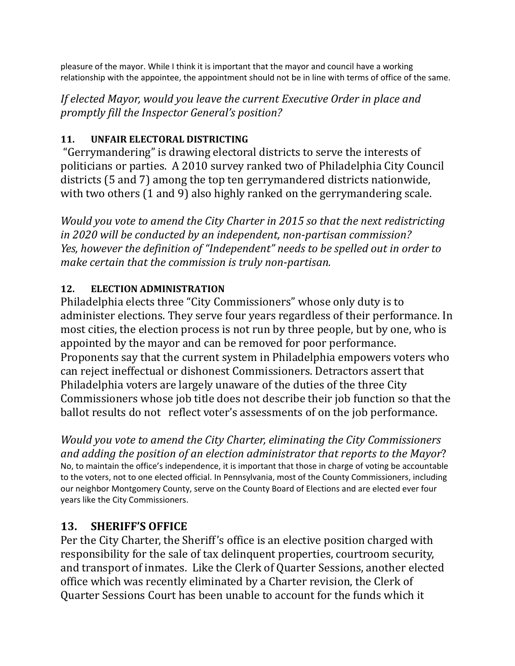pleasure of the mayor. While I think it is important that the mayor and council have a working relationship with the appointee, the appointment should not be in line with terms of office of the same.

*If elected Mayor, would you leave the current Executive Order in place and promptly fill the Inspector General's position?*

# 11. **UNFAIR ELECTORAL DISTRICTING**

"Gerrymandering" is drawing electoral districts to serve the interests of politicians or parties. A 2010 survey ranked two of Philadelphia City Council districts (5 and 7) among the top ten gerrymandered districts nationwide, with two others  $(1 \text{ and } 9)$  also highly ranked on the gerrymandering scale.

*Would you vote to amend the City Charter in 2015 so that the next redistricting in 2020 will be conducted by an independent, non‐partisan commission? Yes, however the definition of "Independent" needs to be spelled out in order to make certain that the commission is truly non‐partisan.* 

# 12. **ELECTION ADMINISTRATION**

Philadelphia elects three "City Commissioners" whose only duty is to administer elections. They serve four years regardless of their performance. In most cities, the election process is not run by three people, but by one, who is appointed by the mayor and can be removed for poor performance. Proponents say that the current system in Philadelphia empowers voters who can reject ineffectual or dishonest Commissioners. Detractors assert that Philadelphia voters are largely unaware of the duties of the three City Commissioners whose job title does not describe their job function so that the ballot results do not reflect voter's assessments of on the job performance.

*Would you vote to amend the City Charter, eliminating the City Commissioners and adding the position of an election administrator that reports to the Mayor*? No, to maintain the office's independence, it is important that those in charge of voting be accountable to the voters, not to one elected official. In Pennsylvania, most of the County Commissioners, including our neighbor Montgomery County, serve on the County Board of Elections and are elected ever four years like the City Commissioners.

# **13. SHERIFF'S OFFICE**

Per the City Charter, the Sheriff's office is an elective position charged with responsibility for the sale of tax delinquent properties, courtroom security, and transport of inmates. Like the Clerk of Quarter Sessions, another elected office which was recently eliminated by a Charter revision, the Clerk of Quarter Sessions Court has been unable to account for the funds which it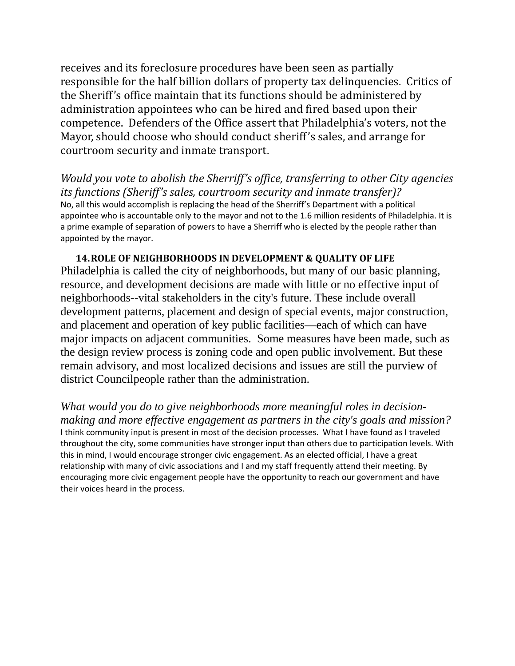receives and its foreclosure procedures have been seen as partially responsible for the half billion dollars of property tax delinquencies. Critics of the Sheriff's office maintain that its functions should be administered by administration appointees who can be hired and fired based upon their competence. Defenders of the Office assert that Philadelphia's voters, not the Mayor, should choose who should conduct sheriff's sales, and arrange for courtroom security and inmate transport.

*Would you vote to abolish the Sherriff's office, transferring to other City agencies its functions (Sheriff's sales, courtroom security and inmate transfer)?*  No, all this would accomplish is replacing the head of the Sherriff's Department with a political appointee who is accountable only to the mayor and not to the 1.6 million residents of Philadelphia. It is a prime example of separation of powers to have a Sherriff who is elected by the people rather than appointed by the mayor.

**14.ROLE OF NEIGHBORHOODS IN DEVELOPMENT & QUALITY OF LIFE** Philadelphia is called the city of neighborhoods, but many of our basic planning, resource, and development decisions are made with little or no effective input of neighborhoods--vital stakeholders in the city's future. These include overall development patterns, placement and design of special events, major construction, and placement and operation of key public facilities—each of which can have major impacts on adjacent communities. Some measures have been made, such as the design review process is zoning code and open public involvement. But these remain advisory, and most localized decisions and issues are still the purview of district Councilpeople rather than the administration.

*What would you do to give neighborhoods more meaningful roles in decisionmaking and more effective engagement as partners in the city's goals and mission?*  I think community input is present in most of the decision processes. What I have found as I traveled throughout the city, some communities have stronger input than others due to participation levels. With this in mind, I would encourage stronger civic engagement. As an elected official, I have a great relationship with many of civic associations and I and my staff frequently attend their meeting. By encouraging more civic engagement people have the opportunity to reach our government and have their voices heard in the process.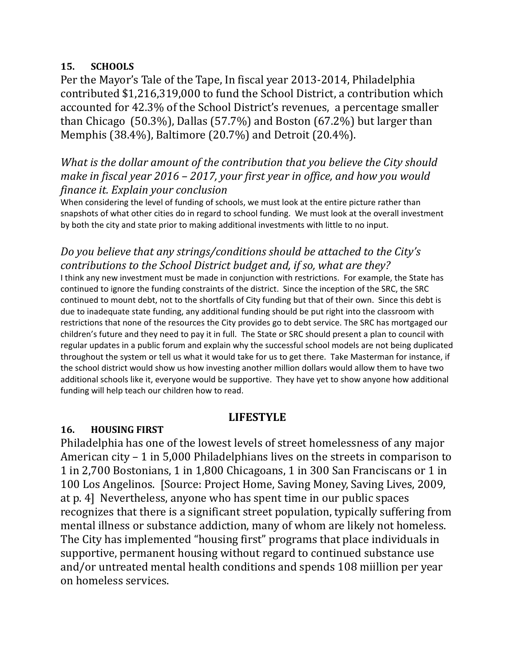#### **15. SCHOOLS**

Per the Mayor's Tale of the Tape, In fiscal year 2013-2014, Philadelphia contributed \$1,216,319,000 to fund the School District, a contribution which accounted for 42.3% of the School District's revenues, a percentage smaller than Chicago  $(50.3\%)$ , Dallas  $(57.7\%)$  and Boston  $(67.2\%)$  but larger than Memphis (38.4%), Baltimore (20.7%) and Detroit (20.4%).

## *What is the dollar amount of the contribution that you believe the City should make in fiscal year 2016 – 2017, your first year in office, and how you would finance it. Explain your conclusion*

When considering the level of funding of schools, we must look at the entire picture rather than snapshots of what other cities do in regard to school funding. We must look at the overall investment by both the city and state prior to making additional investments with little to no input.

## *Do you believe that any strings/conditions should be attached to the City's contributions to the School District budget and, if so, what are they?*

I think any new investment must be made in conjunction with restrictions. For example, the State has continued to ignore the funding constraints of the district. Since the inception of the SRC, the SRC continued to mount debt, not to the shortfalls of City funding but that of their own. Since this debt is due to inadequate state funding, any additional funding should be put right into the classroom with restrictions that none of the resources the City provides go to debt service. The SRC has mortgaged our children's future and they need to pay it in full. The State or SRC should present a plan to council with regular updates in a public forum and explain why the successful school models are not being duplicated throughout the system or tell us what it would take for us to get there. Take Masterman for instance, if the school district would show us how investing another million dollars would allow them to have two additional schools like it, everyone would be supportive. They have yet to show anyone how additional funding will help teach our children how to read.

## **LIFESTYLE**

#### **16. HOUSING FIRST**

Philadelphia has one of the lowest levels of street homelessness of any major American city  $-1$  in 5,000 Philadelphians lives on the streets in comparison to 1 in 2,700 Bostonians, 1 in 1,800 Chicagoans, 1 in 300 San Franciscans or 1 in 100 Los Angelinos. [Source: Project Home, Saving Money, Saving Lives, 2009, at p. 4] Nevertheless, anyone who has spent time in our public spaces recognizes that there is a significant street population, typically suffering from mental illness or substance addiction, many of whom are likely not homeless. The City has implemented "housing first" programs that place individuals in supportive, permanent housing without regard to continued substance use and/or untreated mental health conditions and spends 108 miillion per year on homeless services.